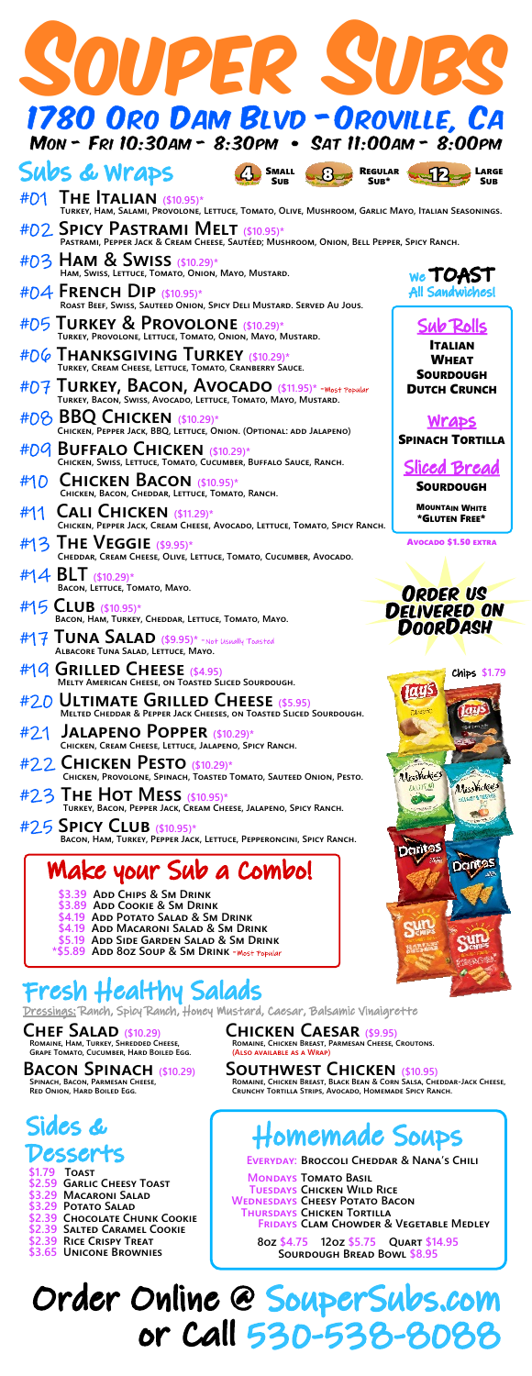| SOUPER !<br>W                                                                                                                              |                                         |
|--------------------------------------------------------------------------------------------------------------------------------------------|-----------------------------------------|
| 1780 Oro Dam Blvd - Oroville, Ca<br>Mon - Fri 10:30am - 8:30pm • Sat 11:00am - 8:00pm                                                      |                                         |
| Subs & Wraps<br><b>SMALL</b><br>$\mathbf{R}_{-}$<br><b>REGULAR</b><br><b>SUB</b><br>Su <sub>B</sub> *                                      |                                         |
| #01 THE ITALIAN (\$10.95)*<br>Turkey, Ham, Salami, Provolone, Lettuce, Tomato, Olive, Mushroom, Garlic Mayo, Italian Seasonings.           |                                         |
| #02 SPICY PASTRAMI MELT (\$10.95)*<br>PASTRAMI, PEPPER JACK & CREAM CHEESE, SAUTÉED; MUSHROOM, ONION, BELL PEPPER, SPICY RANCH.            |                                         |
| #03 <b>HAM &amp; SWISS</b> (\$10.29)*<br>HAM, SWISS, LETTUCE, TOMATO, ONION, MAYO, MUSTARD.                                                | We TOAST                                |
| #D4 FRENCH DIP $($10.95)*$<br>ROAST BEEF, SWISS, SAUTEED ONION, SPICY DELI MUSTARD. SERVED AU JOUS.                                        | All Sandwichesl                         |
| #D5 TURKEY & PROVOLONE (\$10.29)*                                                                                                          | <b>Sub Rolls</b>                        |
| TURKEY, PROVOLONE, LETTUCE, TOMATO, ONION, MAYO, MUSTARD.<br>#D6 THANKSGIVING TURKEY (\$10.29)*                                            | <b>ITALIAN</b><br><b>WHEAT</b>          |
| TURKEY, CREAM CHEESE, LETTUCE, TOMATO, CRANBERRY SAUCE.                                                                                    | <b>SOURDOUGH</b><br><b>DUTCH CRUNCH</b> |
| #O7 TURKEY, BACON, AVOCADO (\$11.95)* - Wost Popular<br>Turkey, Bacon, Swiss, Avocado, Lettuce, Tomato, Mayo, Mustard.                     |                                         |
| #08 <b>BBQ CHICKEN</b> (\$10.29)*<br>CHICKEN, PEPPER JACK, BBQ, LETTUCE, ONION. (OPTIONAL: ADD JALAPENO)                                   | Wraps<br><b>SPINACH TORTILLA</b>        |
| #09 BUFFALO CHICKEN (\$10.29)*<br>CHICKEN, SWISS, LETTUCE, TOMATO, CUCUMBER, BUFFALO SAUCE, RANCH.                                         | Sliced Bread                            |
| #10 CHICKEN BACON (\$10.95)*<br>CHICKEN, BACON, CHEDDAR, LETTUCE, TOMATO, RANCH.                                                           | SOURDOUGH                               |
| #11<br><b>CALI CHICKEN</b> (\$11.29)*<br>CHICKEN, PEPPER JACK, CREAM CHEESE, AVOCADO, LETTUCE, TOMATO, SPICY RANCH.                        | <b>MOUNTAIN WHITE</b><br>*GLUTEN FREE*  |
| #13 THE VEGGIE (\$9.95)*<br>CHEDDAR, CREAM CHEESE, OLIVE, LETTUCE, TOMATO, CUCUMBER, AVOCADO.                                              | <b>AVOCADO \$1.50 EXTRA</b>             |
| #14 BLT (\$10.29)*<br>BACON, LETTUCE, TOMATO, MAYO.                                                                                        |                                         |
| $#15$ CLUB (\$10.95)*                                                                                                                      | ORDER US<br>DELIVERED ON                |
| BACON, HAM, TURKEY, CHEDDAR, LETTUCE, TOMATO, MAYO.<br>$\#$ TUNA SALAD (\$9.95)* - not Usually Toasted Albacore Tuna Salad, Lettuce, Mayo. | <b>DOORDASH</b>                         |
| #19 GRILLED CHEESE (\$4.95)<br>MELTY AMERICAN CHEESE, ON TOASTED SLICED SOURDOUGH.                                                         | Chips \$1.79                            |
| #20 ULTIMATE GRILLED CHEESE (\$5.95)<br>MELTED CHEDDAR & PEPPER JACK CHEESES, ON TOASTED SLICED SOURDOUGH.                                 | lays                                    |
| #21 JALAPENO POPPER (\$10.29)*<br>CHICKEN, CREAM CHEESE, LETTUCE, JALAPENO, SPICY RANCH.                                                   |                                         |
| #22 CHICKEN PESTO (\$10.29)*<br>CHICKEN, PROVOLONE, SPINACH, TOASTED TOMATO, SAUTEED ONION, PESTO.                                         | MissWickies                             |
| #2.3 THE HOT MESS (\$10.95)*<br>TURKEY, BACON, PEPPER JACK, CREAM CHEESE, JALAPENO, SPICY RANCH.                                           | Aliss Vickies<br><b>JALAJEMO</b>        |
| #25 SPICY LLUB (\$10.95)*<br>BACON, HAM, TURKEY, PEPPER JACK, LETTUCE, PEPPERONCINI, SPICY RANCH.                                          | <b>Dorit<sub>25</sub></b>               |
| Make your Sub a Combo!                                                                                                                     | <b>Dontos</b>                           |
| \$3.39 ADD CHIPS & SM DRINK<br>\$3.89 ADD COOKIE & SM DRINK                                                                                |                                         |
| \$4.19 Add Potato Salad & Sm Drink<br>\$4.19 ADD MACARONI SALAD & SM DRINK<br>\$5.19 ADD SIDE GARDEN SALAD & SM DRINK                      |                                         |
| *\$5.89 ADD 80Z SOUP & SM DRINK - Wost Popular                                                                                             |                                         |

#### Fresh Healthy Salads

Dressings: Ranch, Spicy Ranch, Honey Mustard, Caesar, Balsamic Vinaigrette

**CHEF SALAD** (\$10,29)<br>Romaine, Ham, Turkey, Shredded Cheese,<br>Grape Tomato, Cucumber, Hard Boiled Egg.

BACON SPINACH (\$10.29)

### Sides &

#### Desserts

\$179 **TOAST** TOAST<br>GARLIC CHEESY TOAST<br>MACARONI SALAD<br>POTATO SALAD \$2.59 \$3.29  $$3.29$ **\$2.39 CHOCOLATE CHUNK COOKIE<br>\$2.39 SALTED CARAMEL COOKIE<br>\$2.39 SALTED CARAMEL COOKIE<br>\$3.65 UNICONE BROWNIES**  **CHICKEN CAESAR (\$9.95)** AN CHEESE, CROUTONS. ROMAINE, CHICKEN BREAST, PAR (ALSO AVAILABLE AS A WI

SOUTHWEST CHICKEN (\$10.95)<br>Romaine, Chicken Breast, Black Bean & Corn Salsa, Cheddar-Jack Cheese,<br>Crunchy Tortilla Strips, Avocado, Homemade Spicy Ranch.

 $\mathbb{Z}$ 

#### **Homemade Soups**

EVERYDAY: BROCCOLI CHEDDAR & NANA'S CHILI

**MONDAYS TOMATO BASIL<br>TUESDAYS CHICKEN WILD RICE** VIEDNESDAYS CHEESY POTATO BACON<br>THURSDAYS CHEESY POTATO BACON<br>FRIDAYS CLAM CHOWDER & VEGETABLE MEDLEY

**802 \$4.75 1202 \$5.75 QUART \$14.95**<br>SOURDOUGH BREAD BOWL \$8.95

Order Online @ SouperSubs.com or Call 530-53 8-808